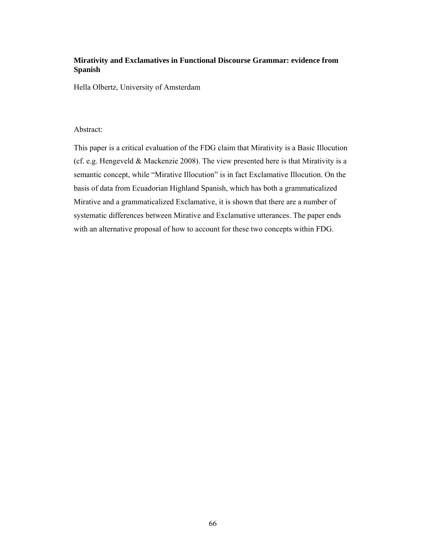# **Mirativity and Exclamatives in Functional Discourse Grammar: evidence from Spanish**

Hella Olbertz, University of Amsterdam

## Abstract:

This paper is a critical evaluation of the FDG claim that Mirativity is a Basic Illocution (cf. e.g. Hengeveld & Mackenzie 2008). The view presented here is that Mirativity is a semantic concept, while "Mirative Illocution" is in fact Exclamative Illocution. On the basis of data from Ecuadorian Highland Spanish, which has both a grammaticalized Mirative and a grammaticalized Exclamative, it is shown that there are a number of systematic differences between Mirative and Exclamative utterances. The paper ends with an alternative proposal of how to account for these two concepts within FDG.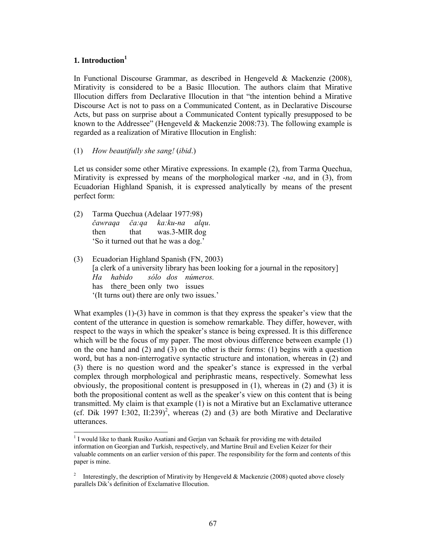## **1. Introduction<sup>1</sup>**

1

In Functional Discourse Grammar, as described in Hengeveld & Mackenzie (2008), Mirativity is considered to be a Basic Illocution. The authors claim that Mirative Illocution differs from Declarative Illocution in that "the intention behind a Mirative Discourse Act is not to pass on a Communicated Content, as in Declarative Discourse Acts, but pass on surprise about a Communicated Content typically presupposed to be known to the Addressee" (Hengeveld  $& Mackenzie\ 2008:73$ ). The following example is regarded as a realization of Mirative Illocution in English:

(1) *How beautifully she sang!* (*ibid*.)

Let us consider some other Mirative expressions. In example (2), from Tarma Quechua, Mirativity is expressed by means of the morphological marker -*na*, and in (3), from Ecuadorian Highland Spanish, it is expressed analytically by means of the present perfect form:

- (2) Tarma Quechua (Adelaar 1977:98) *čawraqa ča:qa ka:ku-na alqu*. then that was.3-MIR dog 'So it turned out that he was a dog.'
- (3) Ecuadorian Highland Spanish (FN, 2003) [a clerk of a university library has been looking for a journal in the repository] *Ha habido sólo dos números.* has there been only two issues '(It turns out) there are only two issues.'

What examples (1)-(3) have in common is that they express the speaker's view that the content of the utterance in question is somehow remarkable. They differ, however, with respect to the ways in which the speaker's stance is being expressed. It is this difference which will be the focus of my paper. The most obvious difference between example (1) on the one hand and  $(2)$  and  $(3)$  on the other is their forms:  $(1)$  begins with a question word, but has a non-interrogative syntactic structure and intonation, whereas in (2) and (3) there is no question word and the speaker's stance is expressed in the verbal complex through morphological and periphrastic means, respectively. Somewhat less obviously, the propositional content is presupposed in (1), whereas in (2) and (3) it is both the propositional content as well as the speaker's view on this content that is being transmitted. My claim is that example (1) is not a Mirative but an Exclamative utterance (cf. Dik 1997 I:302, II:239)<sup>2</sup>, whereas (2) and (3) are both Mirative and Declarative utterances.

<sup>&</sup>lt;sup>1</sup> I would like to thank Rusiko Asatiani and Gerjan van Schaaik for providing me with detailed information on Georgian and Turkish, respectively, and Martine Bruil and Evelien Keizer for their valuable comments on an earlier version of this paper. The responsibility for the form and contents of this paper is mine.

<sup>2</sup> Interestingly, the description of Mirativity by Hengeveld & Mackenzie (2008) quoted above closely parallels Dik's definition of Exclamative Illocution.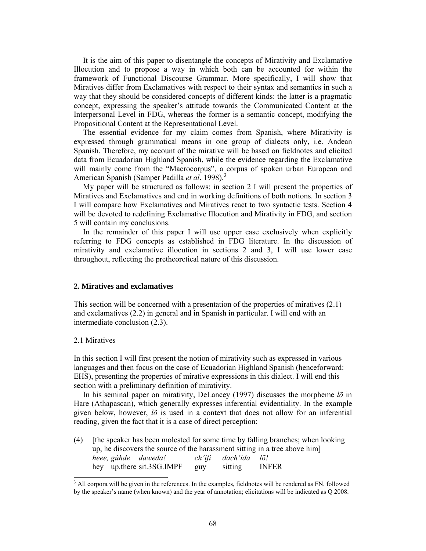It is the aim of this paper to disentangle the concepts of Mirativity and Exclamative Illocution and to propose a way in which both can be accounted for within the framework of Functional Discourse Grammar. More specifically, I will show that Miratives differ from Exclamatives with respect to their syntax and semantics in such a way that they should be considered concepts of different kinds: the latter is a pragmatic concept, expressing the speaker's attitude towards the Communicated Content at the Interpersonal Level in FDG, whereas the former is a semantic concept, modifying the Propositional Content at the Representational Level.

 The essential evidence for my claim comes from Spanish, where Mirativity is expressed through grammatical means in one group of dialects only, i.e. Andean Spanish. Therefore, my account of the mirative will be based on fieldnotes and elicited data from Ecuadorian Highland Spanish, while the evidence regarding the Exclamative will mainly come from the "Macrocorpus", a corpus of spoken urban European and American Spanish (Samper Padilla *et al.* 1998).<sup>3</sup>

 My paper will be structured as follows: in section 2 I will present the properties of Miratives and Exclamatives and end in working definitions of both notions. In section 3 I will compare how Exclamatives and Miratives react to two syntactic tests. Section 4 will be devoted to redefining Exclamative Illocution and Mirativity in FDG, and section 5 will contain my conclusions.

 In the remainder of this paper I will use upper case exclusively when explicitly referring to FDG concepts as established in FDG literature. In the discussion of mirativity and exclamative illocution in sections 2 and 3, I will use lower case throughout, reflecting the pretheoretical nature of this discussion.

#### **2. Miratives and exclamatives**

This section will be concerned with a presentation of the properties of miratives (2.1) and exclamatives (2.2) in general and in Spanish in particular. I will end with an intermediate conclusion (2.3).

## 2.1 Miratives

1

In this section I will first present the notion of mirativity such as expressed in various languages and then focus on the case of Ecuadorian Highland Spanish (henceforward: EHS), presenting the properties of mirative expressions in this dialect. I will end this section with a preliminary definition of mirativity.

 In his seminal paper on mirativity, DeLancey (1997) discusses the morpheme *lõ* in Hare (Athapascan), which generally expresses inferential evidentiality. In the example given below, however, *lõ* is used in a context that does not allow for an inferential reading, given the fact that it is a case of direct perception:

(4) [the speaker has been molested for some time by falling branches; when looking up, he discovers the source of the harassment sitting in a tree above him] *heee, gúhde daweda! ch'ifi dach'ída lõ!* hey up.there sit.3SG.IMPF guy sitting INFER

<sup>&</sup>lt;sup>3</sup> All corpora will be given in the references. In the examples, fieldnotes will be rendered as FN, followed by the speaker's name (when known) and the year of annotation; elicitations will be indicated as Q 2008.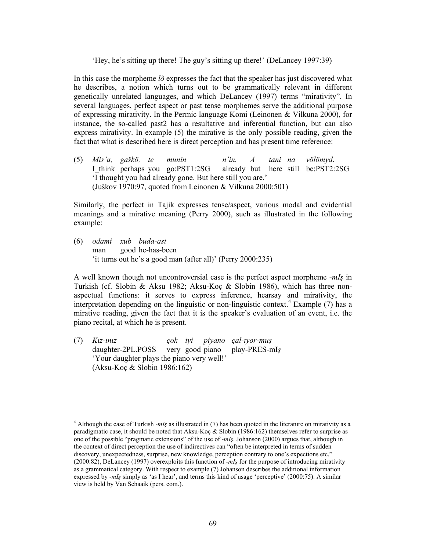'Hey, he's sitting up there! The guy's sitting up there!' (DeLancey 1997:39)

In this case the morpheme  $l\tilde{o}$  expresses the fact that the speaker has just discovered what he describes, a notion which turns out to be grammatically relevant in different genetically unrelated languages, and which DeLancey (1997) terms "mirativity". In several languages, perfect aspect or past tense morphemes serve the additional purpose of expressing mirativity. In the Permic language Komi (Leinonen & Vilkuna 2000), for instance, the so-called past2 has a resultative and inferential function, but can also express mirativity. In example (5) the mirative is the only possible reading, given the fact that what is described here is direct perception and has present time reference:

(5) *Mis'a, gaškö, te munin n'in. A tani na völömyd*. I\_think perhaps you go:PST1:2SG already but here still be:PST2:2SG 'I thought you had already gone. But here still you are.' (Juškov 1970:97, quoted from Leinonen & Vilkuna 2000:501)

Similarly, the perfect in Tajik expresses tense/aspect, various modal and evidential meanings and a mirative meaning (Perry 2000), such as illustrated in the following example:

(6) *odami xub buda-ast*  man good he-has-been 'it turns out he's a good man (after all)' (Perry 2000:235)

A well known though not uncontroversial case is the perfect aspect morpheme *-mIş* in Turkish (cf. Slobin & Aksu 1982; Aksu-Koç & Slobin 1986), which has three nonaspectual functions: it serves to express inference, hearsay and mirativity, the interpretation depending on the linguistic or non-linguistic context.<sup>4</sup> Example  $(7)$  has a mirative reading, given the fact that it is the speaker's evaluation of an event, i.e. the piano recital, at which he is present.

(7) *Kız-ınız çok iyi piyano çal-ıyor-muş* daughter-2PL.POSS very good piano play-PRES-mI*ş* 'Your daughter plays the piano very well!' (Aksu-Koç & Slobin 1986:162)

 $\overline{a}$ 

<sup>&</sup>lt;sup>4</sup> Although the case of Turkish *-mI<sub>S</sub>* as illustrated in (7) has been quoted in the literature on mirativity as a paradigmatic case, it should be noted that Aksu-Koç & Slobin (1986:162) themselves refer to surprise as one of the possible "pragmatic extensions" of the use of -*mIş*. Johanson (2000) argues that, although in the context of direct perception the use of indirectives can "often be interpreted in terms of sudden discovery, unexpectedness, surprise, new knowledge, perception contrary to one's expections etc." (2000:82), DeLancey (1997) overexploits this function of -*mIş* for the purpose of introducing mirativity as a grammatical category. With respect to example (7) Johanson describes the additional information expressed by -*mIş* simply as 'as I hear', and terms this kind of usage 'perceptive' (2000:75). A similar view is held by Van Schaaik (pers. com.).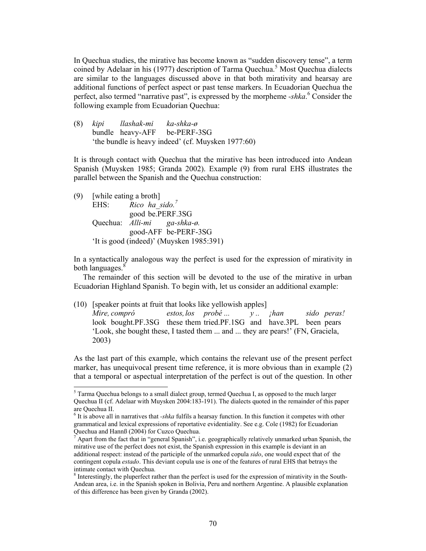In Quechua studies, the mirative has become known as "sudden discovery tense", a term coined by Adelaar in his (1977) description of Tarma Quechua.<sup>5</sup> Most Quechua dialects are similar to the languages discussed above in that both mirativity and hearsay are additional functions of perfect aspect or past tense markers. In Ecuadorian Quechua the perfect, also termed "narrative past", is expressed by the morpheme *-shka*.<sup>6</sup> Consider the following example from Ecuadorian Quechua:

(8) *kipi llashak-mi ka-shka-ø* bundle heavy-AFF be-PERF-3SG 'the bundle is heavy indeed' (cf. Muysken 1977:60)

It is through contact with Quechua that the mirative has been introduced into Andean Spanish (Muysken 1985; Granda 2002). Example (9) from rural EHS illustrates the parallel between the Spanish and the Quechua construction:

(9) [while eating a broth] EHS: *Rico ha\_sido.<sup>7</sup>*  good be.PERF.3SG Quechua: *Alli-mi ga-shka-ø.* good-AFF be-PERF-3SG 'It is good (indeed)' (Muysken 1985:391)

l

In a syntactically analogous way the perfect is used for the expression of mirativity in both languages.<sup>8</sup>

 The remainder of this section will be devoted to the use of the mirative in urban Ecuadorian Highland Spanish. To begin with, let us consider an additional example:

(10) [speaker points at fruit that looks like yellowish apples]

*Mire, compró estos, los probé ... y .. ¡han sido peras!*  look bought.PF.3SG these them tried.PF.1SG and have.3PL been pears 'Look, she bought these, I tasted them ... and ... they are pears!' (FN, Graciela, 2003)

As the last part of this example, which contains the relevant use of the present perfect marker, has unequivocal present time reference, it is more obvious than in example (2) that a temporal or aspectual interpretation of the perfect is out of the question. In other

 $5$  Tarma Quechua belongs to a small dialect group, termed Quechua I, as opposed to the much larger Quechua II (cf. Adelaar with Muysken 2004:183-191). The dialects quoted in the remainder of this paper are Quechua II.

 $<sup>6</sup>$  It is above all in narratives that *-shka* fulfils a hearsay function. In this function it competes with other</sup> grammatical and lexical expressions of reportative evidentiality. See e.g. Cole (1982) for Ecuadorian Quechua and Hannß (2004) for Cuzco Quechua.

 $<sup>7</sup>$  Apart from the fact that in "general Spanish", i.e. geographically relatively unmarked urban Spanish, the</sup> mirative use of the perfect does not exist, the Spanish expression in this example is deviant in an additional respect: instead of the participle of the unmarked copula *sido*, one would expect that of the contingent copula *estado*. This deviant copula use is one of the features of rural EHS that betrays the intimate contact with Quechua.

<sup>&</sup>lt;sup>8</sup> Interestingly, the pluperfect rather than the perfect is used for the expression of mirativity in the South-Andean area, i.e. in the Spanish spoken in Bolivia, Peru and northern Argentine. A plausible explanation of this difference has been given by Granda (2002).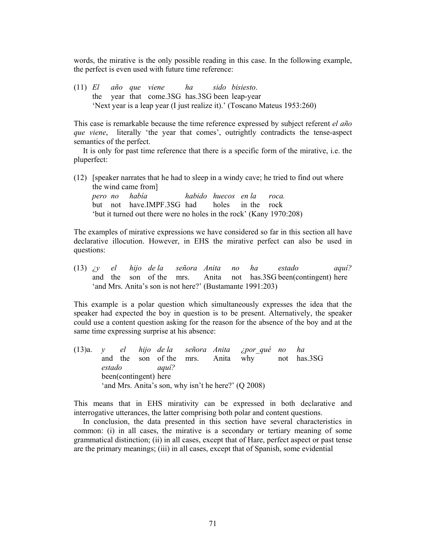words, the mirative is the only possible reading in this case. In the following example, the perfect is even used with future time reference:

(11) *El año que viene ha sido bisiesto*. the year that come.3SG has.3SG been leap-year 'Next year is a leap year (I just realize it).' (Toscano Mateus 1953:260)

This case is remarkable because the time reference expressed by subject referent *el año que viene*, literally 'the year that comes', outrightly contradicts the tense-aspect semantics of the perfect.

It is only for past time reference that there is a specific form of the mirative, i.e. the pluperfect:

(12) [speaker narrates that he had to sleep in a windy cave; he tried to find out where the wind came from] *pero no había habido huecos en la roca.* but not have.IMPF.3SG had holes in the rock

'but it turned out there were no holes in the rock' (Kany 1970:208)

The examples of mirative expressions we have considered so far in this section all have declarative illocution. However, in EHS the mirative perfect can also be used in questions:

(13) *¿y el hijo de la señora Anita no ha estado aquí?* and the son of the mrs. Anita not has.3SG been(contingent) here 'and Mrs. Anita's son is not here?' (Bustamante 1991:203)

This example is a polar question which simultaneously expresses the idea that the speaker had expected the boy in question is to be present. Alternatively, the speaker could use a content question asking for the reason for the absence of the boy and at the same time expressing surprise at his absence:

(13)a. *y el hijo de la señora Anita ¿por\_qué no ha*  and the son of the mrs. Anita why not has.3SG *estado aquí?* been(contingent) here 'and Mrs. Anita's son, why isn't he here?' (Q 2008)

This means that in EHS mirativity can be expressed in both declarative and interrogative utterances, the latter comprising both polar and content questions.

 In conclusion, the data presented in this section have several characteristics in common: (i) in all cases, the mirative is a secondary or tertiary meaning of some grammatical distinction; (ii) in all cases, except that of Hare, perfect aspect or past tense are the primary meanings; (iii) in all cases, except that of Spanish, some evidential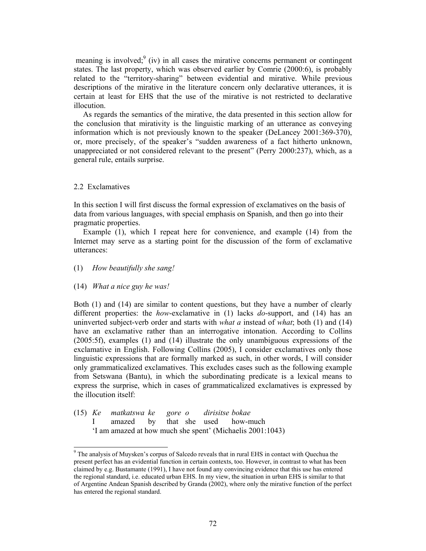meaning is involved;<sup>9</sup> (iv) in all cases the mirative concerns permanent or contingent states. The last property, which was observed earlier by Comrie (2000:6), is probably related to the "territory-sharing" between evidential and mirative. While previous descriptions of the mirative in the literature concern only declarative utterances, it is certain at least for EHS that the use of the mirative is not restricted to declarative illocution.

 As regards the semantics of the mirative, the data presented in this section allow for the conclusion that mirativity is the linguistic marking of an utterance as conveying information which is not previously known to the speaker (DeLancey 2001:369-370), or, more precisely, of the speaker's "sudden awareness of a fact hitherto unknown, unappreciated or not considered relevant to the present" (Perry 2000:237), which, as a general rule, entails surprise.

## 2.2 Exclamatives

 $\overline{a}$ 

In this section I will first discuss the formal expression of exclamatives on the basis of data from various languages, with special emphasis on Spanish, and then go into their pragmatic properties.

 Example (1), which I repeat here for convenience, and example (14) from the Internet may serve as a starting point for the discussion of the form of exclamative utterances:

- (1) *How beautifully she sang!*
- (14) *What a nice guy he was!*

Both (1) and (14) are similar to content questions, but they have a number of clearly different properties: the *how*-exclamative in (1) lacks *do*-support, and (14) has an uninverted subject-verb order and starts with *what a* instead of *what*; both (1) and (14) have an exclamative rather than an interrogative intonation. According to Collins (2005:5f), examples (1) and (14) illustrate the only unambiguous expressions of the exclamative in English. Following Collins (2005), I consider exclamatives only those linguistic expressions that are formally marked as such, in other words, I will consider only grammaticalized exclamatives. This excludes cases such as the following example from Setswana (Bantu), in which the subordinating predicate is a lexical means to express the surprise, which in cases of grammaticalized exclamatives is expressed by the illocution itself:

(15) *Ke matkatswa ke gore o dirisitse bokae* I amazed by that she used how-much 'I am amazed at how much she spent' (Michaelis 2001:1043)

 $9<sup>9</sup>$  The analysis of Muysken's corpus of Salcedo reveals that in rural EHS in contact with Quechua the present perfect has an evidential function in certain contexts, too. However, in contrast to what has been claimed by e.g. Bustamante (1991), I have not found any convincing evidence that this use has entered the regional standard, i.e. educated urban EHS. In my view, the situation in urban EHS is similar to that of Argentine Andean Spanish described by Granda (2002), where only the mirative function of the perfect has entered the regional standard.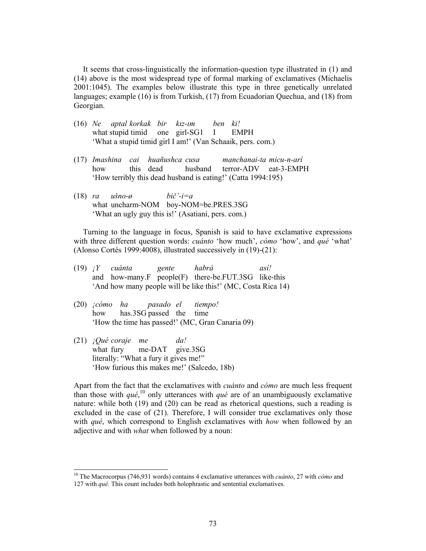It seems that cross-linguistically the information-question type illustrated in (1) and (14) above is the most widespread type of formal marking of exclamatives (Michaelis 2001:1045). The examples below illustrate this type in three genetically unrelated languages; example (16) is from Turkish, (17) from Ecuadorian Quechua, and (18) from Georgian.

- (16) *Ne aptal korkak bir kız-ım ben ki!* what stupid timid one girl-SG1 I EMPH 'What a stupid timid girl I am!' (Van Schaaik, pers. com.)
- (17) *Imashina cai huañushca cusa manchanai-ta micu-n-arí* how this dead husband terror-ADV eat-3-EMPH 'How terribly this dead husband is eating!' (Catta 1994:195)
- (18) *ra ušno-ø bič'-i=a* what uncharm-NOM boy-NOM=be.PRES.3SG 'What an ugly guy this is!' (Asatiani, pers. com.)

 Turning to the language in focus, Spanish is said to have exclamative expressions with three different question words: *cuánto* 'how much', *cómo* 'how', and *qué* 'what' (Alonso Cortés 1999:4008), illustrated successively in (19)-(21):

- (19) *¡Y cuánta gente habrá así!*  and how-many.F people(F) there-be.FUT.3SG like-this 'And how many people will be like this!' (MC, Costa Rica 14)
- (20) *¡cómo ha pasado el tiempo!* how has.3SG passed the time 'How the time has passed!' (MC, Gran Canaria 09)
- (21) *¡Qué coraje me da!* what fury me-DAT give.3SG literally: "What a fury it gives me!" 'How furious this makes me!' (Salcedo, 18b)

 $\overline{a}$ 

Apart from the fact that the exclamatives with *cuánto* and *cómo* are much less frequent than those with *qué*, 10 only utterances with *qué* are of an unambiguously exclamative nature: while both (19) and (20) can be read as rhetorical questions, such a reading is excluded in the case of (21). Therefore, I will consider true exclamatives only those with *qué*, which correspond to English exclamatives with *how* when followed by an adjective and with *what* when followed by a noun:

<sup>10</sup> The Macrocorpus (746,931 words) contains 4 exclamative utterances with *cuánto*, 27 with *cómo* and 127 with *qué.* This count includes both holophrastic and sentential exclamatives.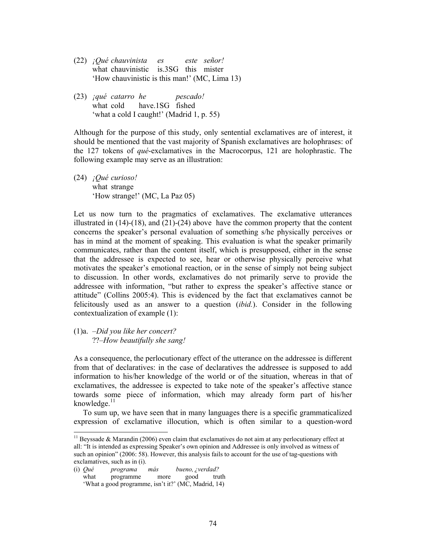- (22) *¡Qué chauvinista es este señor!* what chauvinistic is.3SG this mister 'How chauvinistic is this man!' (MC, Lima 13)
- (23) *¡qué catarro he pescado!*  what cold have.1SG fished 'what a cold I caught!' (Madrid 1, p. 55)

Although for the purpose of this study, only sentential exclamatives are of interest, it should be mentioned that the vast majority of Spanish exclamatives are holophrases: of the 127 tokens of *qué*-exclamatives in the Macrocorpus, 121 are holophrastic. The following example may serve as an illustration:

(24) *¡Qué curioso!* what strange 'How strange!' (MC, La Paz 05)

Let us now turn to the pragmatics of exclamatives. The exclamative utterances illustrated in  $(14)-(18)$ , and  $(21)-(24)$  above have the common property that the content concerns the speaker's personal evaluation of something s/he physically perceives or has in mind at the moment of speaking. This evaluation is what the speaker primarily communicates, rather than the content itself, which is presupposed, either in the sense that the addressee is expected to see, hear or otherwise physically perceive what motivates the speaker's emotional reaction, or in the sense of simply not being subject to discussion. In other words, exclamatives do not primarily serve to provide the addressee with information, "but rather to express the speaker's affective stance or attitude" (Collins 2005:4). This is evidenced by the fact that exclamatives cannot be felicitously used as an answer to a question (*ibid.*). Consider in the following contextualization of example (1):

## (1)a. *–Did you like her concert?* ??*–How beautifully she sang!*

 $\overline{a}$ 

As a consequence, the perlocutionary effect of the utterance on the addressee is different from that of declaratives: in the case of declaratives the addressee is supposed to add information to his/her knowledge of the world or of the situation, whereas in that of exclamatives, the addressee is expected to take note of the speaker's affective stance towards some piece of information, which may already form part of his/her knowledge. $^{11}$ 

 To sum up, we have seen that in many languages there is a specific grammaticalized expression of exclamative illocution, which is often similar to a question-word

 $11$  Beyssade & Marandin (2006) even claim that exclamatives do not aim at any perlocutionary effect at all: "It is intended as expressing Speaker's own opinion and Addressee is only involved as witness of such an opinion" (2006: 58). However, this analysis fails to account for the use of tag-questions with exclamatives, such as in (i).

<sup>(</sup>i) *Qué programa más bueno, ¿verdad?* what programme more good truth 'What a good programme, isn't it?' (MC, Madrid, 14)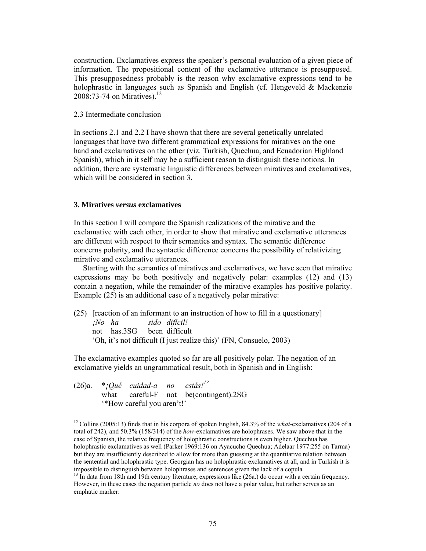construction. Exclamatives express the speaker's personal evaluation of a given piece of information. The propositional content of the exclamative utterance is presupposed. This presupposedness probably is the reason why exclamative expressions tend to be holophrastic in languages such as Spanish and English (cf. Hengeveld & Mackenzie 2008:73-74 on Miratives).<sup>12</sup>

## 2.3 Intermediate conclusion

In sections 2.1 and 2.2 I have shown that there are several genetically unrelated languages that have two different grammatical expressions for miratives on the one hand and exclamatives on the other (viz. Turkish, Quechua, and Ecuadorian Highland Spanish), which in it self may be a sufficient reason to distinguish these notions. In addition, there are systematic linguistic differences between miratives and exclamatives, which will be considered in section 3.

#### **3. Miratives** *versus* **exclamatives**

In this section I will compare the Spanish realizations of the mirative and the exclamative with each other, in order to show that mirative and exclamative utterances are different with respect to their semantics and syntax. The semantic difference concerns polarity, and the syntactic difference concerns the possibility of relativizing mirative and exclamative utterances.

 Starting with the semantics of miratives and exclamatives, we have seen that mirative expressions may be both positively and negatively polar: examples (12) and (13) contain a negation, while the remainder of the mirative examples has positive polarity. Example (25) is an additional case of a negatively polar mirative:

(25) [reaction of an informant to an instruction of how to fill in a questionary] *¡No ha sido difícil!* not has.3SG been difficult 'Oh, it's not difficult (I just realize this)' (FN, Consuelo, 2003)

The exclamative examples quoted so far are all positively polar. The negation of an exclamative yields an ungrammatical result, both in Spanish and in English:

(26)a. \**¡Qué cuidad-a no estás!<sup>13</sup>* what careful-F not be(contingent).2SG '\*How careful you aren't!'

 $\overline{a}$ 

<sup>12</sup> Collins (2005:13) finds that in his corpora of spoken English, 84.3% of the *what*-exclamatives (204 of a total of 242), and 50.3% (158/314) of the *how*-exclamatives are holophrases. We saw above that in the case of Spanish, the relative frequency of holophrastic constructions is even higher. Quechua has holophrastic exclamatives as well (Parker 1969:136 on Ayacucho Quechua; Adelaar 1977:255 on Tarma) but they are insufficiently described to allow for more than guessing at the quantitative relation between the sentential and holophrastic type. Georgian has no holophrastic exclamatives at all, and in Turkish it is impossible to distinguish between holophrases and sentences given the lack of a copula

<sup>&</sup>lt;sup>13</sup> In data from 18th and 19th century literature, expressions like (26a.) do occur with a certain frequency. However, in these cases the negation particle *no* does not have a polar value, but rather serves as an emphatic marker: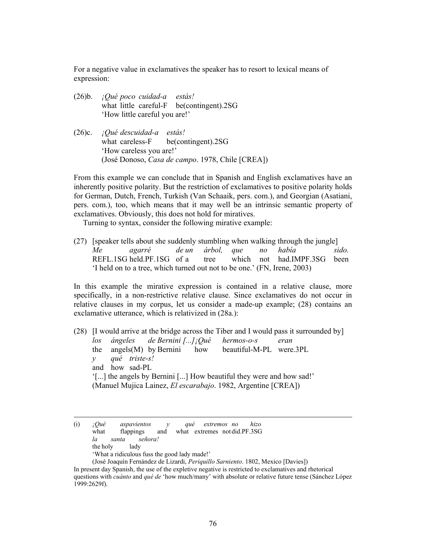For a negative value in exclamatives the speaker has to resort to lexical means of expression:

- (26)b. *¡Qué poco cuidad-a estás!* what little careful-F be(contingent).2SG 'How little careful you are!'
- (26)c. *¡Qué descuidad-a estás!* what careless-F be(contingent).2SG 'How careless you are!' (José Donoso, *Casa de campo*. 1978, Chile [CREA])

From this example we can conclude that in Spanish and English exclamatives have an inherently positive polarity. But the restriction of exclamatives to positive polarity holds for German, Dutch, French, Turkish (Van Schaaik, pers. com.), and Georgian (Asatiani, pers. com.), too, which means that it may well be an intrinsic semantic property of exclamatives. Obviously, this does not hold for miratives.

Turning to syntax, consider the following mirative example:

(27) [speaker tells about she suddenly stumbling when walking through the jungle] *Me agarré de un árbol, que no había sido.*  REFL.1SG held.PF.1SG of a tree which not had.IMPF.3SG been 'I held on to a tree, which turned out not to be one.' (FN, Irene, 2003)

In this example the mirative expression is contained in a relative clause, more specifically, in a non-restrictive relative clause. Since exclamatives do not occur in relative clauses in my corpus, let us consider a made-up example; (28) contains an exclamative utterance, which is relativized in (28a.):

(28) [I would arrive at the bridge across the Tiber and I would pass it surrounded by] *los ángeles de Bernini [...]¡Qué hermos-o-s eran*  the angels(M) by Bernini how beautiful-M-PL were.3PL *y qué triste-s!* and how sad-PL '[...] the angels by Bernini [...] How beautiful they were and how sad!' (Manuel Mujica Lainez, *El escarabajo*. 1982, Argentine [CREA])

-

<sup>(</sup>i) *¡Qué aspavientos y qué extremos no hizo* what flappings and what extremes not did.PF.3SG *la santa señora!* the holy lady 'What a ridiculous fuss the good lady made!'

<sup>(</sup>José Joaquín Fernández de Lizardi, *Periquillo Sarniento*. 1802, Mexico [Davies]) In present day Spanish, the use of the expletive negative is restricted to exclamatives and rhetorical questions with *cuánto* and *qué de* 'how much/many' with absolute or relative future tense (Sánchez López 1999:2629f).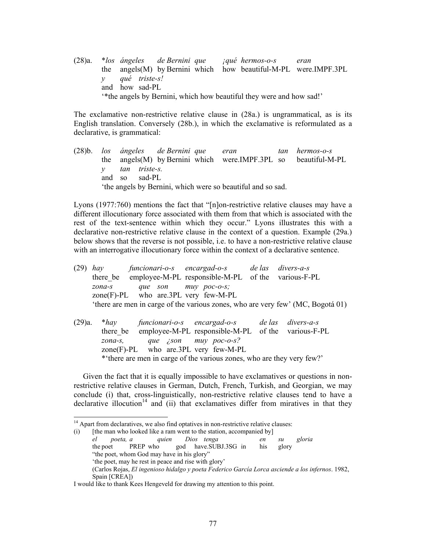(28)a. \**los ángeles de Bernini que ¡qué hermos-o-s eran*  the angels(M) by Bernini which how beautiful-M-PL were.IMPF.3PL *y qué triste-s!* and how sad-PL '\*the angels by Bernini, which how beautiful they were and how sad!'

The exclamative non-restrictive relative clause in (28a.) is ungrammatical, as is its English translation. Conversely (28b.), in which the exclamative is reformulated as a declarative, is grammatical:

(28)b. *los ángeles de Bernini que eran tan hermos-o-s*  the angels(M) by Bernini which were.IMPF.3PL so beautiful-M-PL *y tan triste-s.*  and so sad-PL 'the angels by Bernini, which were so beautiful and so sad.

Lyons (1977:760) mentions the fact that "[n]on-restrictive relative clauses may have a different illocutionary force associated with them from that which is associated with the rest of the text-sentence within which they occur." Lyons illustrates this with a declarative non-restrictive relative clause in the context of a question. Example (29a.) below shows that the reverse is not possible, i.e. to have a non-restrictive relative clause with an interrogative illocutionary force within the context of a declarative sentence.

(29) *hay funcionari-o-s encargad-o-s de las divers-a-s* there be employee-M-PL responsible-M-PL of the various-F-PL *zona-s que son muy poc-o-s;* zone(F)-PL who are.3PL very few-M-PL 'there are men in carge of the various zones, who are very few' (MC, Bogotá 01)

(29)a. \**hay funcionari-o-s encargad-o-s de las divers-a-s* there be employee-M-PL responsible-M-PL of the various-F-PL *zona-s, que ¿son muy poc-o-s?*  zone(F)-PL who are.3PL very few-M-PL \*'there are men in carge of the various zones, who are they very few?'

 Given the fact that it is equally impossible to have exclamatives or questions in nonrestrictive relative clauses in German, Dutch, French, Turkish, and Georgian, we may conclude (i) that, cross-linguistically, non-restrictive relative clauses tend to have a declarative illocution<sup>14</sup> and (ii) that exclamatives differ from miratives in that they

 $\overline{a}$ 

 $(i)$  [the man who looked like a ram went to the station, accompanied by] *el poeta, a quien Dios tenga en su gloria* the poet PREP who god have.SUBJ.3SG in his glory "the poet, whom God may have in his glory" 'the poet, may he rest in peace and rise with glory' (Carlos Rojas, *El ingenioso hidalgo y poeta Federico García Lorca asciende a los infernos*. 1982, Spain [CREA])

 $14$  Apart from declaratives, we also find optatives in non-restrictive relative clauses:

I would like to thank Kees Hengeveld for drawing my attention to this point.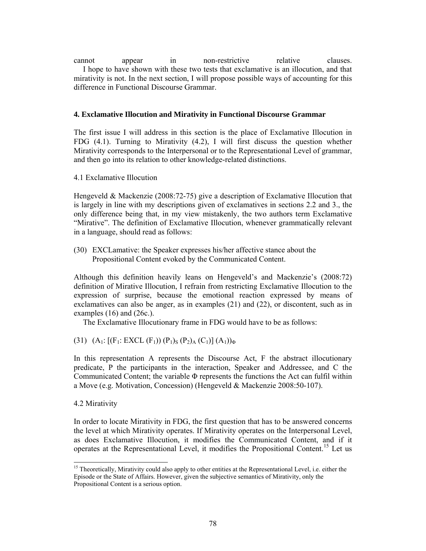cannot appear in non-restrictive relative clauses. I hope to have shown with these two tests that exclamative is an illocution, and that mirativity is not. In the next section, I will propose possible ways of accounting for this difference in Functional Discourse Grammar.

# **4. Exclamative Illocution and Mirativity in Functional Discourse Grammar**

The first issue I will address in this section is the place of Exclamative Illocution in FDG (4.1). Turning to Mirativity (4.2), I will first discuss the question whether Mirativity corresponds to the Interpersonal or to the Representational Level of grammar, and then go into its relation to other knowledge-related distinctions.

4.1 Exclamative Illocution

Hengeveld & Mackenzie (2008:72-75) give a description of Exclamative Illocution that is largely in line with my descriptions given of exclamatives in sections 2.2 and 3., the only difference being that, in my view mistakenly, the two authors term Exclamative "Mirative". The definition of Exclamative Illocution, whenever grammatically relevant in a language, should read as follows:

(30) EXCLamative: the Speaker expresses his/her affective stance about the Propositional Content evoked by the Communicated Content.

Although this definition heavily leans on Hengeveld's and Mackenzie's (2008:72) definition of Mirative Illocution, I refrain from restricting Exclamative Illocution to the expression of surprise, because the emotional reaction expressed by means of exclamatives can also be anger, as in examples (21) and (22), or discontent, such as in examples (16) and (26c.).

The Exclamative Illocutionary frame in FDG would have to be as follows:

(31)  $(A_1: [(F_1: EXCL (F_1)) (P_1)_S (P_2)_A (C_1)] (A_1))_{\Phi}$ 

In this representation A represents the Discourse Act, F the abstract illocutionary predicate, P the participants in the interaction, Speaker and Addressee, and C the Communicated Content; the variable Φ represents the functions the Act can fulfil within a Move (e.g. Motivation, Concession) (Hengeveld & Mackenzie 2008:50-107).

4.2 Mirativity

In order to locate Mirativity in FDG, the first question that has to be answered concerns the level at which Mirativity operates. If Mirativity operates on the Interpersonal Level, as does Exclamative Illocution, it modifies the Communicated Content, and if it operates at the Representational Level, it modifies the Propositional Content.<sup>15</sup> Let us

 $\overline{a}$ <sup>15</sup> Theoretically, Mirativity could also apply to other entities at the Representational Level, i.e. either the Episode or the State of Affairs. However, given the subjective semantics of Mirativity, only the Propositional Content is a serious option.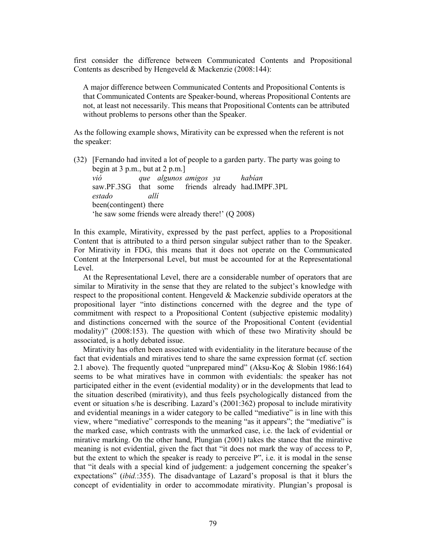first consider the difference between Communicated Contents and Propositional Contents as described by Hengeveld & Mackenzie (2008:144):

A major difference between Communicated Contents and Propositional Contents is that Communicated Contents are Speaker-bound, whereas Propositional Contents are not, at least not necessarily. This means that Propositional Contents can be attributed without problems to persons other than the Speaker.

As the following example shows, Mirativity can be expressed when the referent is not the speaker:

(32) [Fernando had invited a lot of people to a garden party. The party was going to begin at 3 p.m., but at 2 p.m.]

*vió que algunos amigos ya habían*  saw.PF.3SG that some friends already had.IMPF.3PL *estado allí* been(contingent) there 'he saw some friends were already there!' (Q 2008)

In this example, Mirativity, expressed by the past perfect, applies to a Propositional Content that is attributed to a third person singular subject rather than to the Speaker. For Mirativity in FDG, this means that it does not operate on the Communicated Content at the Interpersonal Level, but must be accounted for at the Representational Level.

 At the Representational Level, there are a considerable number of operators that are similar to Mirativity in the sense that they are related to the subject's knowledge with respect to the propositional content. Hengeveld & Mackenzie subdivide operators at the propositional layer "into distinctions concerned with the degree and the type of commitment with respect to a Propositional Content (subjective epistemic modality) and distinctions concerned with the source of the Propositional Content (evidential modality)" (2008:153). The question with which of these two Mirativity should be associated, is a hotly debated issue.

 Mirativity has often been associated with evidentiality in the literature because of the fact that evidentials and miratives tend to share the same expression format (cf. section 2.1 above). The frequently quoted "unprepared mind" (Aksu-Koç & Slobin 1986:164) seems to be what miratives have in common with evidentials: the speaker has not participated either in the event (evidential modality) or in the developments that lead to the situation described (mirativity), and thus feels psychologically distanced from the event or situation s/he is describing. Lazard's (2001:362) proposal to include mirativity and evidential meanings in a wider category to be called "mediative" is in line with this view, where "mediative" corresponds to the meaning "as it appears"; the "mediative" is the marked case, which contrasts with the unmarked case, i.e. the lack of evidential or mirative marking. On the other hand, Plungian (2001) takes the stance that the mirative meaning is not evidential, given the fact that "it does not mark the way of access to P, but the extent to which the speaker is ready to perceive P", i.e. it is modal in the sense that "it deals with a special kind of judgement: a judgement concerning the speaker's expectations" (*ibid.*:355). The disadvantage of Lazard's proposal is that it blurs the concept of evidentiality in order to accommodate mirativity. Plungian's proposal is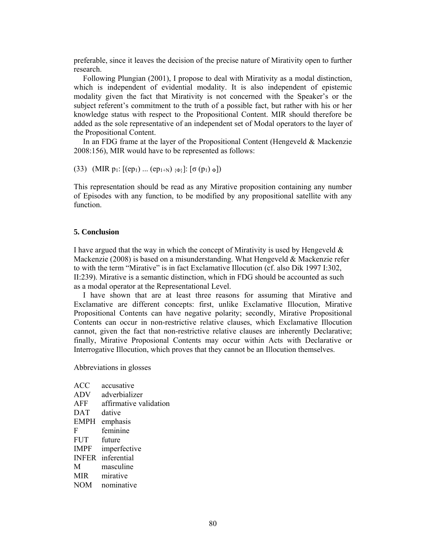preferable, since it leaves the decision of the precise nature of Mirativity open to further research.

 Following Plungian (2001), I propose to deal with Mirativity as a modal distinction, which is independent of evidential modality. It is also independent of epistemic modality given the fact that Mirativity is not concerned with the Speaker's or the subject referent's commitment to the truth of a possible fact, but rather with his or her knowledge status with respect to the Propositional Content. MIR should therefore be added as the sole representative of an independent set of Modal operators to the layer of the Propositional Content.

 In an FDG frame at the layer of the Propositional Content (Hengeveld & Mackenzie 2008:156), MIR would have to be represented as follows:

(33) (MIR  $p_1$ :  $[(ep_1) ... (ep_{1+N})_{(qp)}]$ :  $[\sigma(p_1)_{\phi}]$ )

This representation should be read as any Mirative proposition containing any number of Episodes with any function, to be modified by any propositional satellite with any function.

#### **5. Conclusion**

I have argued that the way in which the concept of Mirativity is used by Hengeveld  $\&$ Mackenzie (2008) is based on a misunderstanding. What Hengeveld & Mackenzie refer to with the term "Mirative" is in fact Exclamative Illocution (cf. also Dik 1997 I:302, II:239). Mirative is a semantic distinction, which in FDG should be accounted as such as a modal operator at the Representational Level.

 I have shown that are at least three reasons for assuming that Mirative and Exclamative are different concepts: first, unlike Exclamative Illocution, Mirative Propositional Contents can have negative polarity; secondly, Mirative Propositional Contents can occur in non-restrictive relative clauses, which Exclamative Illocution cannot, given the fact that non-restrictive relative clauses are inherently Declarative; finally, Mirative Proposional Contents may occur within Acts with Declarative or Interrogative Illocution, which proves that they cannot be an Illocution themselves.

Abbreviations in glosses

| accusative             |
|------------------------|
| adverbializer          |
| affirmative validation |
| dative                 |
| emphasis               |
| feminine               |
| future                 |
| imperfective           |
| inferential            |
| masculine              |
| mirative               |
| nominative             |
|                        |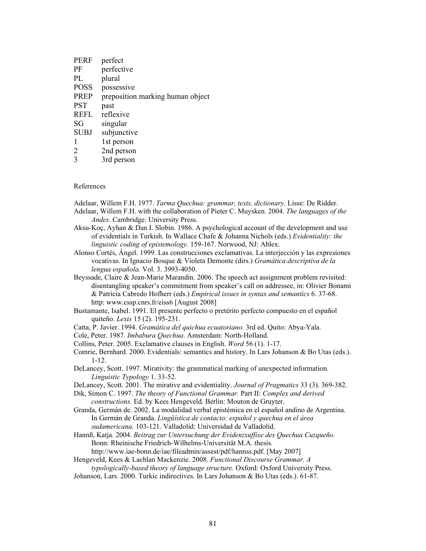| <b>PERF</b> | perfect                          |
|-------------|----------------------------------|
| PF          | perfective                       |
| PL          | plural                           |
| <b>POSS</b> | possessive                       |
| <b>PREP</b> | preposition marking human object |
| <b>PST</b>  | past                             |
| <b>REFL</b> | reflexive                        |
| SG          | singular                         |
| <b>SUBJ</b> | subjunctive                      |
|             | 1st person                       |
| 2           | 2nd person                       |
| 3           | 3rd person                       |

#### References

Adelaar, Willem F.H. 1977. *Tarma Quechua: grammar, texts, dictionary*. Lisse: De Ridder.

- Adelaar, Willem F.H. with the collaboration of Pieter C. Muysken. 2004. *The languages of the Andes*. Cambridge: University Press.
- Aksu-Koç, Ayhan & Dan I. Slobin. 1986. A psychological account of the development and use of evidentials in Turkish. In Wallace Chafe & Johanna Nichols (eds.) *Evidentiality: the linguistic coding of epistemology.* 159-167. Norwood, NJ: Ablex.
- Alonso Cortés, Ángel. 1999. Las construcciones exclamativas. La interjección y las expresiones vocativas. In Ignacio Bosque & Violeta Demonte (dirs.) *Gramática descriptiva de la lengua española.* Vol. 3. 3993-4050.
- Beyssade, Claire & Jean-Marie Marandin. 2006. The speech act assignment problem revisited: disentangling speaker's commitment from speaker's call on addressee, in: Olivier Bonami & Patricia Cabredo Hofherr (eds.) *Empirical issues in syntax and semantics* 6. 37-68. http: www.cssp.cnrs.fr/eiss6 [August 2008]
- Bustamante, Isabel. 1991. El presente perfecto o pretérito perfecto compuesto en el español quiteño. *Lexis* 15 (2). 195-231.
- Catta, P. Javier. 1994. *Gramática del quichua ecuatoriano.* 3rd ed. Quito: Abya-Yala.
- Cole, Peter. 1987. *Imbabura Quechua*. Amsterdam: North-Holland.
- Collins, Peter. 2005. Exclamative clauses in English. *Word* 56 (1). 1-17.
- Comrie, Bernhard. 2000. Evidentials: semantics and history. In Lars Johanson & Bo Utas (eds.). 1-12.
- DeLancey, Scott. 1997. Mirativity: the grammatical marking of unexpected information. *Linguistic Typology* 1. 33-52.
- DeLancey, Scott. 2001. The mirative and evidentiality. *Journal of Pragmatics* 33 (3). 369-382.
- Dik, Simon C. 1997. *The theory of Functional Grammar.* Part II: *Complex and derived constructions.* Ed. by Kees Hengeveld. Berlin: Mouton de Gruyter.
- Granda, Germán de. 2002. La modalidad verbal epistémica en el español andino de Argentina. In Germán de Granda. *Lingüística de contacto: español y quechua en el área sudamericana.* 103-121. Valladolid: Universidad de Valladolid.
- Hannß, Katja. 2004. *Beitrag zur Untersuchung der Evidenzsuffixe des Quechua Cuzqueño.* Bonn: Rheinische Friedrich-Wilhelms-Universität M.A. thesis.
	- http://www.iae-bonn.de/iae/fileadmin/assest/pdf/hannss.pdf. [May 2007]
- Hengeveld, Kees & Lachlan Mackenzie. 2008. *Functional Discourse Grammar. A typologically-based theory of language structure.* Oxford: Oxford University Press.
- Johanson, Lars. 2000. Turkic indirectives. In Lars Johanson & Bo Utas (eds.). 61-87.